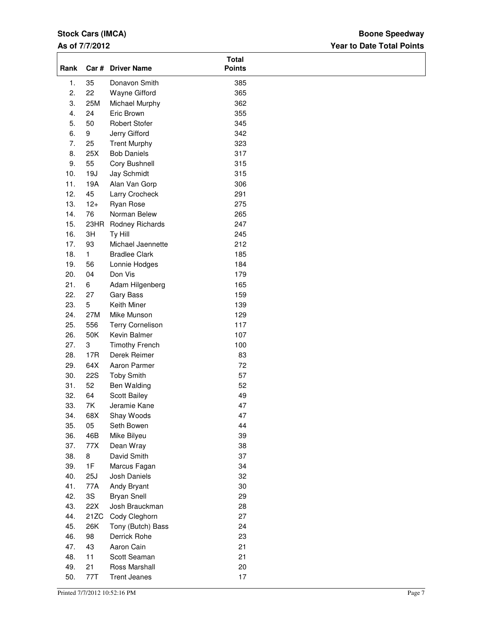# **Stock Cars (IMCA)**

### **As of 7/7/2012**

# **Year to Date Total Points Boone Speedway**

| Rank |              | Car # Driver Name       | <b>Total</b><br><b>Points</b> |  |
|------|--------------|-------------------------|-------------------------------|--|
| 1.   | 35           | Donavon Smith           | 385                           |  |
| 2.   | 22           | Wayne Gifford           | 365                           |  |
| 3.   | 25M          | Michael Murphy          | 362                           |  |
| 4.   | 24           | Eric Brown              | 355                           |  |
| 5.   | 50           | <b>Robert Stofer</b>    | 345                           |  |
| 6.   | 9            | Jerry Gifford           | 342                           |  |
| 7.   | 25           | <b>Trent Murphy</b>     | 323                           |  |
| 8.   | 25X          | <b>Bob Daniels</b>      | 317                           |  |
| 9.   | 55           | Cory Bushnell           | 315                           |  |
| 10.  | 19J          | Jay Schmidt             | 315                           |  |
| 11.  | 19A          | Alan Van Gorp           | 306                           |  |
| 12.  | 45           | Larry Crocheck          | 291                           |  |
| 13.  | $12+$        | Ryan Rose               | 275                           |  |
| 14.  | 76           | Norman Belew            | 265                           |  |
| 15.  | 23HR         | Rodney Richards         | 247                           |  |
| 16.  | 3H           | Ty Hill                 | 245                           |  |
| 17.  | 93           | Michael Jaennette       | 212                           |  |
| 18.  | $\mathbf{1}$ | <b>Bradlee Clark</b>    | 185                           |  |
| 19.  | 56           | Lonnie Hodges           | 184                           |  |
| 20.  | 04           | Don Vis                 | 179                           |  |
| 21.  | 6            | Adam Hilgenberg         | 165                           |  |
| 22.  | 27           | Gary Bass               | 159                           |  |
| 23.  | 5            | Keith Miner             | 139                           |  |
| 24.  | 27M          | Mike Munson             | 129                           |  |
| 25.  | 556          | <b>Terry Cornelison</b> | 117                           |  |
| 26.  | 50K          | Kevin Balmer            | 107                           |  |
| 27.  | 3            | <b>Timothy French</b>   | 100                           |  |
| 28.  | 17R          | Derek Reimer            | 83                            |  |
| 29.  | 64X          | Aaron Parmer            | 72                            |  |
| 30.  | 22S          | <b>Toby Smith</b>       | 57                            |  |
| 31.  | 52           | Ben Walding             | 52                            |  |
| 32.  | 64           | Scott Bailey            | 49                            |  |
| 33.  | 7K           | Jeramie Kane            | 47                            |  |
| 34.  | 68X          | Shay Woods              | 47                            |  |
| 35.  | 05           | Seth Bowen              | 44                            |  |
| 36.  | 46B          | Mike Bilyeu             | 39                            |  |
| 37.  | 77X          | Dean Wray               | 38                            |  |
| 38.  | 8            | David Smith             | 37                            |  |
| 39.  | 1F           | Marcus Fagan            | 34                            |  |
| 40.  | 25J          | Josh Daniels            | 32                            |  |
| 41.  | 77A          | Andy Bryant             | 30                            |  |
| 42.  | 3S           | <b>Bryan Snell</b>      | 29                            |  |
| 43.  | 22X          | Josh Brauckman          | 28                            |  |
| 44.  | 21ZC         | Cody Cleghorn           | 27                            |  |
| 45.  | 26K          | Tony (Butch) Bass       | 24                            |  |
| 46.  | 98           | Derrick Rohe            | 23                            |  |
| 47.  | 43           | Aaron Cain              | 21                            |  |
| 48.  | 11           | Scott Seaman            | 21                            |  |
| 49.  | 21           | Ross Marshall           | 20                            |  |
| 50.  | 77T          | <b>Trent Jeanes</b>     | 17                            |  |